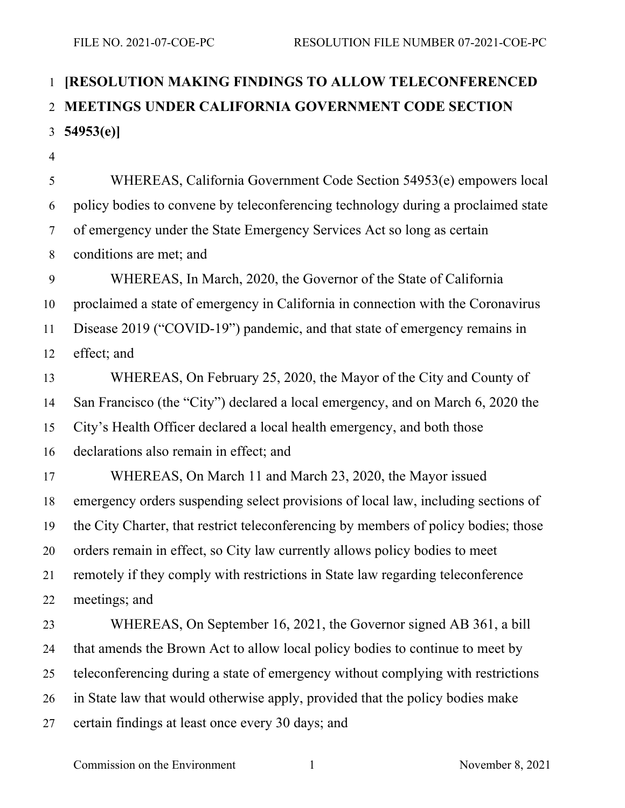## **[RESOLUTION MAKING FINDINGS TO ALLOW TELECONFERENCED MEETINGS UNDER CALIFORNIA GOVERNMENT CODE SECTION 54953(e)]**

 WHEREAS, California Government Code Section 54953(e) empowers local policy bodies to convene by teleconferencing technology during a proclaimed state of emergency under the State Emergency Services Act so long as certain conditions are met; and WHEREAS, In March, 2020, the Governor of the State of California proclaimed a state of emergency in California in connection with the Coronavirus Disease 2019 ("COVID-19") pandemic, and that state of emergency remains in effect; and WHEREAS, On February 25, 2020, the Mayor of the City and County of San Francisco (the "City") declared a local emergency, and on March 6, 2020 the City's Health Officer declared a local health emergency, and both those declarations also remain in effect; and WHEREAS, On March 11 and March 23, 2020, the Mayor issued emergency orders suspending select provisions of local law, including sections of the City Charter, that restrict teleconferencing by members of policy bodies; those orders remain in effect, so City law currently allows policy bodies to meet remotely if they comply with restrictions in State law regarding teleconference meetings; and WHEREAS, On September 16, 2021, the Governor signed AB 361, a bill that amends the Brown Act to allow local policy bodies to continue to meet by teleconferencing during a state of emergency without complying with restrictions in State law that would otherwise apply, provided that the policy bodies make certain findings at least once every 30 days; and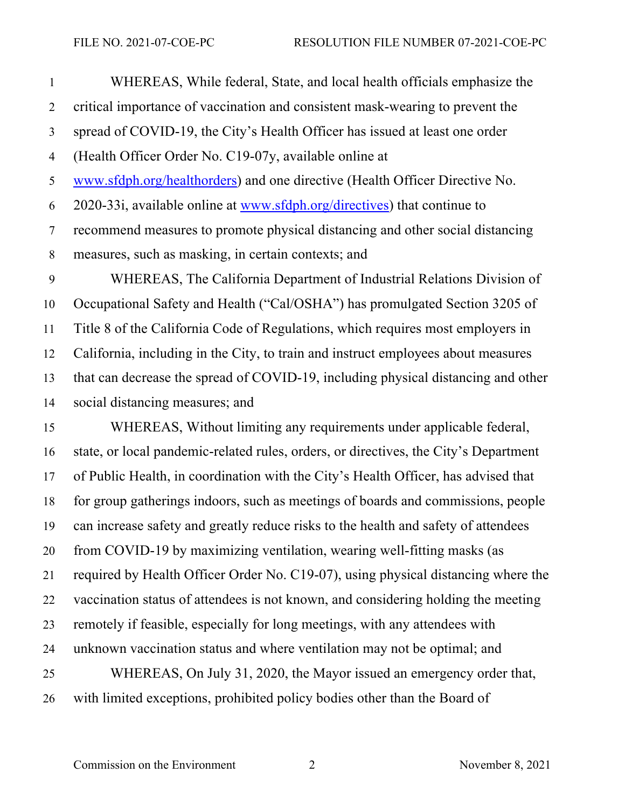WHEREAS, While federal, State, and local health officials emphasize the critical importance of vaccination and consistent mask-wearing to prevent the spread of COVID-19, the City's Health Officer has issued at least one order (Health Officer Order No. C19-07y, available online at www.sfdph.org/healthorders) and one directive (Health Officer Directive No. 2020-33i, available online at www.sfdph.org/directives) that continue to recommend measures to promote physical distancing and other social distancing measures, such as masking, in certain contexts; and WHEREAS, The California Department of Industrial Relations Division of Occupational Safety and Health ("Cal/OSHA") has promulgated Section 3205 of Title 8 of the California Code of Regulations, which requires most employers in California, including in the City, to train and instruct employees about measures that can decrease the spread of COVID-19, including physical distancing and other social distancing measures; and

 WHEREAS, Without limiting any requirements under applicable federal, state, or local pandemic-related rules, orders, or directives, the City's Department of Public Health, in coordination with the City's Health Officer, has advised that for group gatherings indoors, such as meetings of boards and commissions, people can increase safety and greatly reduce risks to the health and safety of attendees from COVID-19 by maximizing ventilation, wearing well-fitting masks (as required by Health Officer Order No. C19-07), using physical distancing where the vaccination status of attendees is not known, and considering holding the meeting remotely if feasible, especially for long meetings, with any attendees with unknown vaccination status and where ventilation may not be optimal; and WHEREAS, On July 31, 2020, the Mayor issued an emergency order that, with limited exceptions, prohibited policy bodies other than the Board of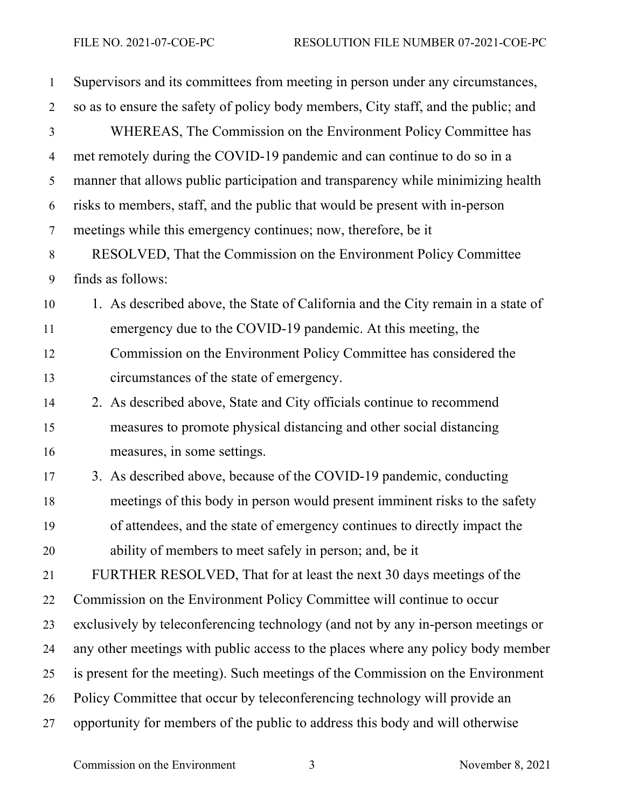| $\mathbf{1}$   | Supervisors and its committees from meeting in person under any circumstances,     |
|----------------|------------------------------------------------------------------------------------|
| $\overline{2}$ | so as to ensure the safety of policy body members, City staff, and the public; and |
| $\overline{3}$ | WHEREAS, The Commission on the Environment Policy Committee has                    |
| $\overline{4}$ | met remotely during the COVID-19 pandemic and can continue to do so in a           |
| 5              | manner that allows public participation and transparency while minimizing health   |
| 6              | risks to members, staff, and the public that would be present with in-person       |
| $\tau$         | meetings while this emergency continues; now, therefore, be it                     |
| $8\,$          | RESOLVED, That the Commission on the Environment Policy Committee                  |
| 9              | finds as follows:                                                                  |
| 10             | 1. As described above, the State of California and the City remain in a state of   |
| 11             | emergency due to the COVID-19 pandemic. At this meeting, the                       |
| 12             | Commission on the Environment Policy Committee has considered the                  |
| 13             | circumstances of the state of emergency.                                           |
| 14             | 2. As described above, State and City officials continue to recommend              |
| 15             | measures to promote physical distancing and other social distancing                |
| 16             | measures, in some settings.                                                        |
| 17             | 3. As described above, because of the COVID-19 pandemic, conducting                |
| 18             | meetings of this body in person would present imminent risks to the safety         |
| 19             | of attendees, and the state of emergency continues to directly impact the          |
| 20             | ability of members to meet safely in person; and, be it                            |
| 21             | FURTHER RESOLVED, That for at least the next 30 days meetings of the               |
| 22             | Commission on the Environment Policy Committee will continue to occur              |
| 23             | exclusively by teleconferencing technology (and not by any in-person meetings or   |
| 24             | any other meetings with public access to the places where any policy body member   |
| 25             | is present for the meeting). Such meetings of the Commission on the Environment    |
| 26             | Policy Committee that occur by teleconferencing technology will provide an         |
| 27             | opportunity for members of the public to address this body and will otherwise      |